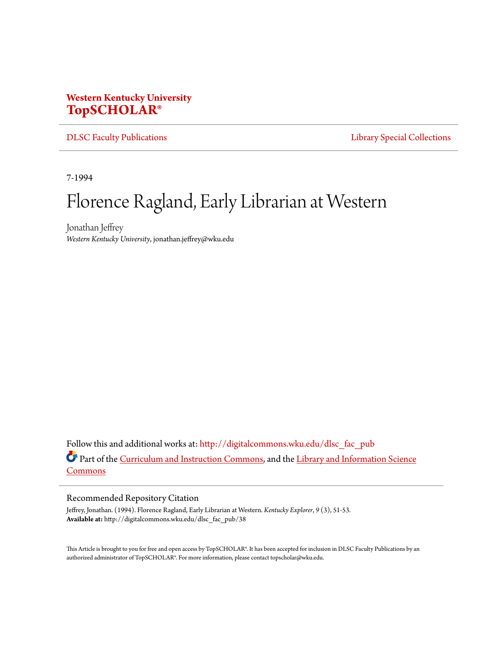## **Western Kentucky University [TopSCHOLAR®](http://digitalcommons.wku.edu?utm_source=digitalcommons.wku.edu%2Fdlsc_fac_pub%2F38&utm_medium=PDF&utm_campaign=PDFCoverPages)**

[DLSC Faculty Publications](http://digitalcommons.wku.edu/dlsc_fac_pub?utm_source=digitalcommons.wku.edu%2Fdlsc_fac_pub%2F38&utm_medium=PDF&utm_campaign=PDFCoverPages) **[Library Special Collections](http://digitalcommons.wku.edu/dlsc?utm_source=digitalcommons.wku.edu%2Fdlsc_fac_pub%2F38&utm_medium=PDF&utm_campaign=PDFCoverPages)** 

7-1994

## Florence Ragland, Early Librarian at Western

Jonathan Jeffrey *Western Kentucky University*, jonathan.jeffrey@wku.edu

Follow this and additional works at: [http://digitalcommons.wku.edu/dlsc\\_fac\\_pub](http://digitalcommons.wku.edu/dlsc_fac_pub?utm_source=digitalcommons.wku.edu%2Fdlsc_fac_pub%2F38&utm_medium=PDF&utm_campaign=PDFCoverPages) Part of the [Curriculum and Instruction Commons](http://network.bepress.com/hgg/discipline/786?utm_source=digitalcommons.wku.edu%2Fdlsc_fac_pub%2F38&utm_medium=PDF&utm_campaign=PDFCoverPages), and the [Library and Information Science](http://network.bepress.com/hgg/discipline/1018?utm_source=digitalcommons.wku.edu%2Fdlsc_fac_pub%2F38&utm_medium=PDF&utm_campaign=PDFCoverPages) [Commons](http://network.bepress.com/hgg/discipline/1018?utm_source=digitalcommons.wku.edu%2Fdlsc_fac_pub%2F38&utm_medium=PDF&utm_campaign=PDFCoverPages)

## Recommended Repository Citation

Jeffrey, Jonathan. (1994). Florence Ragland, Early Librarian at Western. *Kentucky Explorer*, *9* (3), 51-53. **Available at:** http://digitalcommons.wku.edu/dlsc\_fac\_pub/38

This Article is brought to you for free and open access by TopSCHOLAR®. It has been accepted for inclusion in DLSC Faculty Publications by an authorized administrator of TopSCHOLAR®. For more information, please contact topscholar@wku.edu.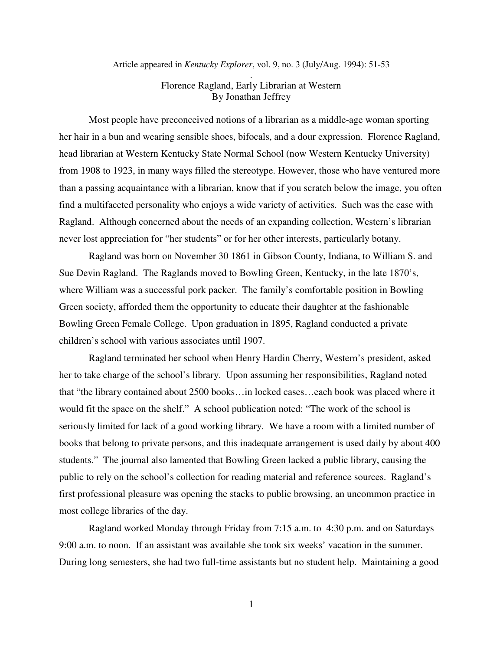Article appeared in *Kentucky Explorer*, vol. 9, no. 3 (July/Aug. 1994): 51-53 .

## Florence Ragland, Early Librarian at Western By Jonathan Jeffrey

 Most people have preconceived notions of a librarian as a middle-age woman sporting her hair in a bun and wearing sensible shoes, bifocals, and a dour expression. Florence Ragland, head librarian at Western Kentucky State Normal School (now Western Kentucky University) from 1908 to 1923, in many ways filled the stereotype. However, those who have ventured more than a passing acquaintance with a librarian, know that if you scratch below the image, you often find a multifaceted personality who enjoys a wide variety of activities. Such was the case with Ragland. Although concerned about the needs of an expanding collection, Western's librarian never lost appreciation for "her students" or for her other interests, particularly botany.

 Ragland was born on November 30 1861 in Gibson County, Indiana, to William S. and Sue Devin Ragland. The Raglands moved to Bowling Green, Kentucky, in the late 1870's, where William was a successful pork packer. The family's comfortable position in Bowling Green society, afforded them the opportunity to educate their daughter at the fashionable Bowling Green Female College. Upon graduation in 1895, Ragland conducted a private children's school with various associates until 1907.

 Ragland terminated her school when Henry Hardin Cherry, Western's president, asked her to take charge of the school's library. Upon assuming her responsibilities, Ragland noted that "the library contained about 2500 books…in locked cases…each book was placed where it would fit the space on the shelf." A school publication noted: "The work of the school is seriously limited for lack of a good working library. We have a room with a limited number of books that belong to private persons, and this inadequate arrangement is used daily by about 400 students." The journal also lamented that Bowling Green lacked a public library, causing the public to rely on the school's collection for reading material and reference sources. Ragland's first professional pleasure was opening the stacks to public browsing, an uncommon practice in most college libraries of the day.

 Ragland worked Monday through Friday from 7:15 a.m. to 4:30 p.m. and on Saturdays 9:00 a.m. to noon. If an assistant was available she took six weeks' vacation in the summer. During long semesters, she had two full-time assistants but no student help. Maintaining a good

1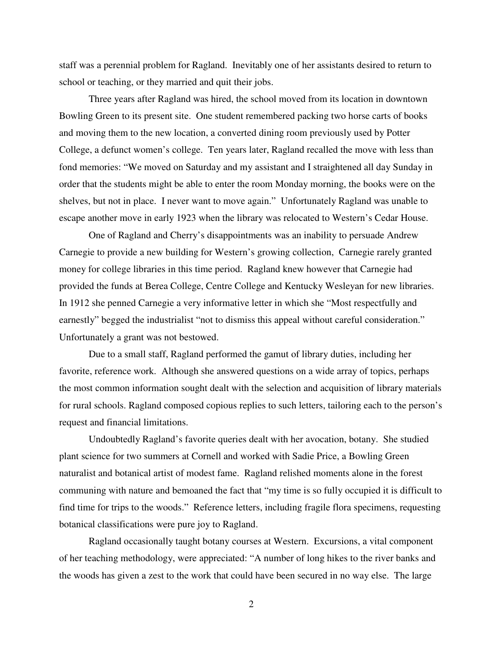staff was a perennial problem for Ragland. Inevitably one of her assistants desired to return to school or teaching, or they married and quit their jobs.

 Three years after Ragland was hired, the school moved from its location in downtown Bowling Green to its present site. One student remembered packing two horse carts of books and moving them to the new location, a converted dining room previously used by Potter College, a defunct women's college. Ten years later, Ragland recalled the move with less than fond memories: "We moved on Saturday and my assistant and I straightened all day Sunday in order that the students might be able to enter the room Monday morning, the books were on the shelves, but not in place. I never want to move again." Unfortunately Ragland was unable to escape another move in early 1923 when the library was relocated to Western's Cedar House.

 One of Ragland and Cherry's disappointments was an inability to persuade Andrew Carnegie to provide a new building for Western's growing collection, Carnegie rarely granted money for college libraries in this time period. Ragland knew however that Carnegie had provided the funds at Berea College, Centre College and Kentucky Wesleyan for new libraries. In 1912 she penned Carnegie a very informative letter in which she "Most respectfully and earnestly" begged the industrialist "not to dismiss this appeal without careful consideration." Unfortunately a grant was not bestowed.

 Due to a small staff, Ragland performed the gamut of library duties, including her favorite, reference work. Although she answered questions on a wide array of topics, perhaps the most common information sought dealt with the selection and acquisition of library materials for rural schools. Ragland composed copious replies to such letters, tailoring each to the person's request and financial limitations.

 Undoubtedly Ragland's favorite queries dealt with her avocation, botany. She studied plant science for two summers at Cornell and worked with Sadie Price, a Bowling Green naturalist and botanical artist of modest fame. Ragland relished moments alone in the forest communing with nature and bemoaned the fact that "my time is so fully occupied it is difficult to find time for trips to the woods." Reference letters, including fragile flora specimens, requesting botanical classifications were pure joy to Ragland.

 Ragland occasionally taught botany courses at Western. Excursions, a vital component of her teaching methodology, were appreciated: "A number of long hikes to the river banks and the woods has given a zest to the work that could have been secured in no way else. The large

2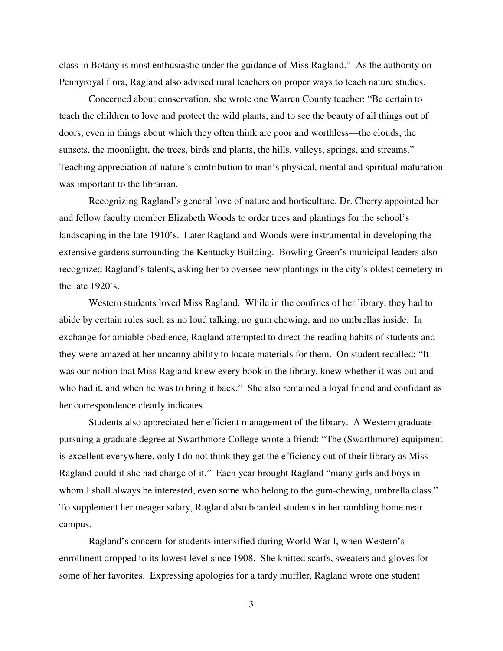class in Botany is most enthusiastic under the guidance of Miss Ragland." As the authority on Pennyroyal flora, Ragland also advised rural teachers on proper ways to teach nature studies.

 Concerned about conservation, she wrote one Warren County teacher: "Be certain to teach the children to love and protect the wild plants, and to see the beauty of all things out of doors, even in things about which they often think are poor and worthless—the clouds, the sunsets, the moonlight, the trees, birds and plants, the hills, valleys, springs, and streams." Teaching appreciation of nature's contribution to man's physical, mental and spiritual maturation was important to the librarian.

 Recognizing Ragland's general love of nature and horticulture, Dr. Cherry appointed her and fellow faculty member Elizabeth Woods to order trees and plantings for the school's landscaping in the late 1910's. Later Ragland and Woods were instrumental in developing the extensive gardens surrounding the Kentucky Building. Bowling Green's municipal leaders also recognized Ragland's talents, asking her to oversee new plantings in the city's oldest cemetery in the late 1920's.

 Western students loved Miss Ragland. While in the confines of her library, they had to abide by certain rules such as no loud talking, no gum chewing, and no umbrellas inside. In exchange for amiable obedience, Ragland attempted to direct the reading habits of students and they were amazed at her uncanny ability to locate materials for them. On student recalled: "It was our notion that Miss Ragland knew every book in the library, knew whether it was out and who had it, and when he was to bring it back." She also remained a loyal friend and confidant as her correspondence clearly indicates.

 Students also appreciated her efficient management of the library. A Western graduate pursuing a graduate degree at Swarthmore College wrote a friend: "The (Swarthmore) equipment is excellent everywhere, only I do not think they get the efficiency out of their library as Miss Ragland could if she had charge of it." Each year brought Ragland "many girls and boys in whom I shall always be interested, even some who belong to the gum-chewing, umbrella class." To supplement her meager salary, Ragland also boarded students in her rambling home near campus.

 Ragland's concern for students intensified during World War I, when Western's enrollment dropped to its lowest level since 1908. She knitted scarfs, sweaters and gloves for some of her favorites. Expressing apologies for a tardy muffler, Ragland wrote one student

3